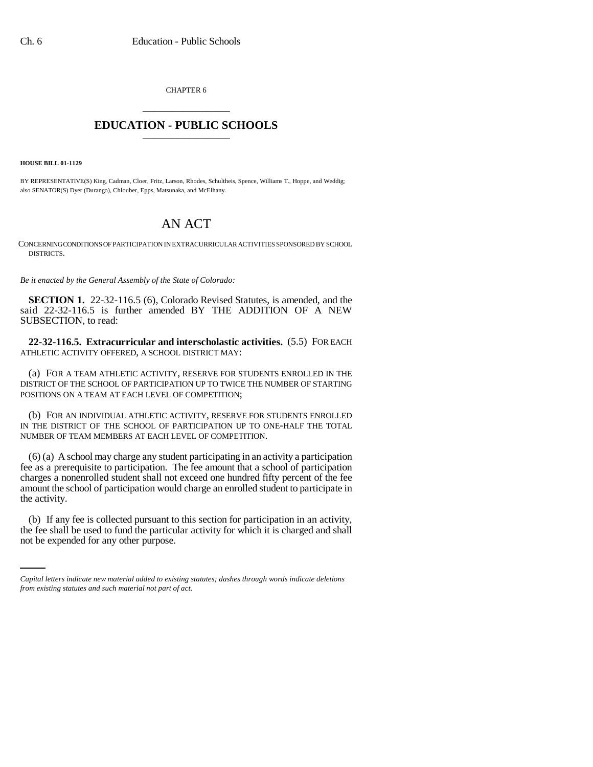CHAPTER 6 \_\_\_\_\_\_\_\_\_\_\_\_\_\_\_

## **EDUCATION - PUBLIC SCHOOLS** \_\_\_\_\_\_\_\_\_\_\_\_\_\_\_

**HOUSE BILL 01-1129**

BY REPRESENTATIVE(S) King, Cadman, Cloer, Fritz, Larson, Rhodes, Schultheis, Spence, Williams T., Hoppe, and Weddig; also SENATOR(S) Dyer (Durango), Chlouber, Epps, Matsunaka, and McElhany.

## AN ACT

CONCERNING CONDITIONS OF PARTICIPATION IN EXTRACURRICULAR ACTIVITIES SPONSORED BY SCHOOL DISTRICTS.

*Be it enacted by the General Assembly of the State of Colorado:*

**SECTION 1.** 22-32-116.5 (6), Colorado Revised Statutes, is amended, and the said 22-32-116.5 is further amended BY THE ADDITION OF A NEW SUBSECTION, to read:

**22-32-116.5. Extracurricular and interscholastic activities.** (5.5) FOR EACH ATHLETIC ACTIVITY OFFERED, A SCHOOL DISTRICT MAY:

(a) FOR A TEAM ATHLETIC ACTIVITY, RESERVE FOR STUDENTS ENROLLED IN THE DISTRICT OF THE SCHOOL OF PARTICIPATION UP TO TWICE THE NUMBER OF STARTING POSITIONS ON A TEAM AT EACH LEVEL OF COMPETITION;

(b) FOR AN INDIVIDUAL ATHLETIC ACTIVITY, RESERVE FOR STUDENTS ENROLLED IN THE DISTRICT OF THE SCHOOL OF PARTICIPATION UP TO ONE-HALF THE TOTAL NUMBER OF TEAM MEMBERS AT EACH LEVEL OF COMPETITION.

(6) (a) A school may charge any student participating in an activity a participation fee as a prerequisite to participation. The fee amount that a school of participation charges a nonenrolled student shall not exceed one hundred fifty percent of the fee amount the school of participation would charge an enrolled student to participate in the activity.

(b) If any fee is collected pursuant to this section for participation in an activity, the fee shall be used to fund the particular activity for which it is charged and shall not be expended for any other purpose.

*Capital letters indicate new material added to existing statutes; dashes through words indicate deletions from existing statutes and such material not part of act.*